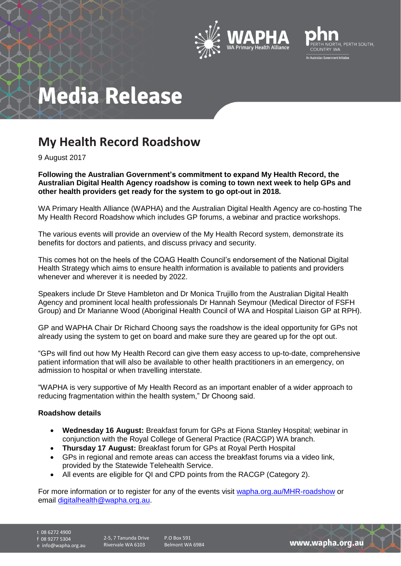



# **Media Release**

### **My Health Record Roadshow**

9 August 2017

**Following the Australian Government's commitment to expand My Health Record, the Australian Digital Health Agency roadshow is coming to town next week to help GPs and other health providers get ready for the system to go opt-out in 2018.**

WA Primary Health Alliance (WAPHA) and the Australian Digital Health Agency are co-hosting The My Health Record Roadshow which includes GP forums, a webinar and practice workshops.

The various events will provide an overview of the My Health Record system, demonstrate its benefits for doctors and patients, and discuss privacy and security.

This comes hot on the heels of the COAG Health Council's endorsement of the National Digital Health Strategy which aims to ensure health information is available to patients and providers whenever and wherever it is needed by 2022.

Speakers include Dr Steve Hambleton and Dr Monica Trujillo from the Australian Digital Health Agency and prominent local health professionals Dr Hannah Seymour (Medical Director of FSFH Group) and Dr Marianne Wood (Aboriginal Health Council of WA and Hospital Liaison GP at RPH).

GP and WAPHA Chair Dr Richard Choong says the roadshow is the ideal opportunity for GPs not already using the system to get on board and make sure they are geared up for the opt out.

"GPs will find out how My Health Record can give them easy access to up-to-date, comprehensive patient information that will also be available to other health practitioners in an emergency, on admission to hospital or when travelling interstate.

"WAPHA is very supportive of My Health Record as an important enabler of a wider approach to reducing fragmentation within the health system," Dr Choong said.

#### **Roadshow details**

- **Wednesday 16 August:** Breakfast forum for GPs at Fiona Stanley Hospital; webinar in conjunction with the Royal College of General Practice (RACGP) WA branch.
- **Thursday 17 August:** Breakfast forum for GPs at Royal Perth Hospital
- GPs in regional and remote areas can access the breakfast forums via a video link, provided by the Statewide Telehealth Service.
- All events are eligible for QI and CPD points from the RACGP (Category 2).

For more information or to register for any of the events visit [wapha.org.au/MHR-roadshow](http://www.wapha.org.au/health-professionals/digitalhealth/myhealth-record/2017-my-health-record-roadshow/) or email [digitalhealth@wapha.org.au.](mailto:digitalhealth@wapha.org.au)

t 08 6272 4900

f 08 9277 5304

e info@wapha.org.au

P.O Box 591 Belmont WA 6984

www.wapha.org.au